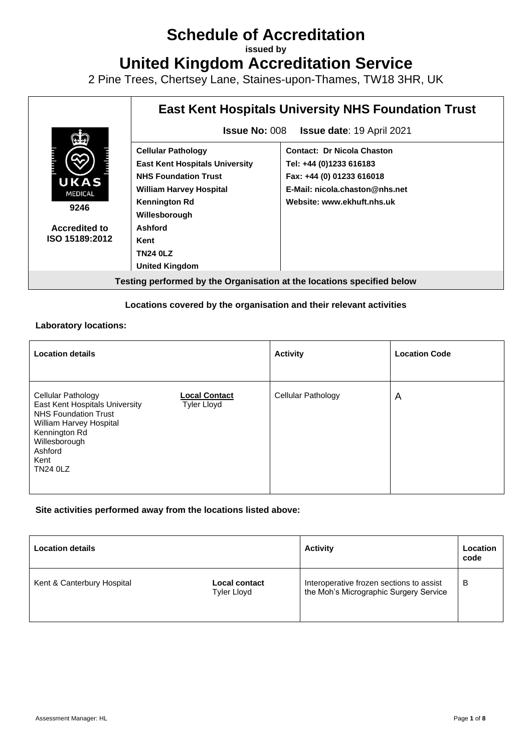# **Schedule of Accreditation**

**issued by**

**United Kingdom Accreditation Service**

2 Pine Trees, Chertsey Lane, Staines-upon-Thames, TW18 3HR, UK

| <b>East Kent Hospitals University NHS Foundation Trust</b>                                                                                                  |                                                                                                                                                           |  |
|-------------------------------------------------------------------------------------------------------------------------------------------------------------|-----------------------------------------------------------------------------------------------------------------------------------------------------------|--|
| <b>Issue No: 008</b><br><b>Issue date: 19 April 2021</b>                                                                                                    |                                                                                                                                                           |  |
| <b>Cellular Pathology</b><br><b>East Kent Hospitals University</b><br><b>NHS Foundation Trust</b><br><b>William Harvey Hospital</b><br><b>Kennington Rd</b> | <b>Contact: Dr Nicola Chaston</b><br>Tel: +44 (0)1233 616183<br>Fax: +44 (0) 01233 616018<br>E-Mail: nicola.chaston@nhs.net<br>Website: www.ekhuft.nhs.uk |  |
| Ashford<br>Kent<br><b>TN24 0LZ</b><br><b>United Kingdom</b>                                                                                                 |                                                                                                                                                           |  |
|                                                                                                                                                             | Willesborough                                                                                                                                             |  |

#### **Locations covered by the organisation and their relevant activities**

#### **Laboratory locations:**

| <b>Location details</b>                                                                                                                                                                |                                            | <b>Activity</b>    | <b>Location Code</b> |
|----------------------------------------------------------------------------------------------------------------------------------------------------------------------------------------|--------------------------------------------|--------------------|----------------------|
| Cellular Pathology<br>East Kent Hospitals University<br><b>NHS Foundation Trust</b><br>William Harvey Hospital<br>Kennington Rd<br>Willesborough<br>Ashford<br>Kent<br><b>TN24 0LZ</b> | <b>Local Contact</b><br><b>Tyler Lloyd</b> | Cellular Pathology | $\overline{A}$       |

#### **Site activities performed away from the locations listed above:**

| <b>Location details</b>    |                                     | <b>Activity</b>                                                                    | Location<br>code |
|----------------------------|-------------------------------------|------------------------------------------------------------------------------------|------------------|
| Kent & Canterbury Hospital | Local contact<br><b>Tyler Lloyd</b> | Interoperative frozen sections to assist<br>the Moh's Micrographic Surgery Service | в                |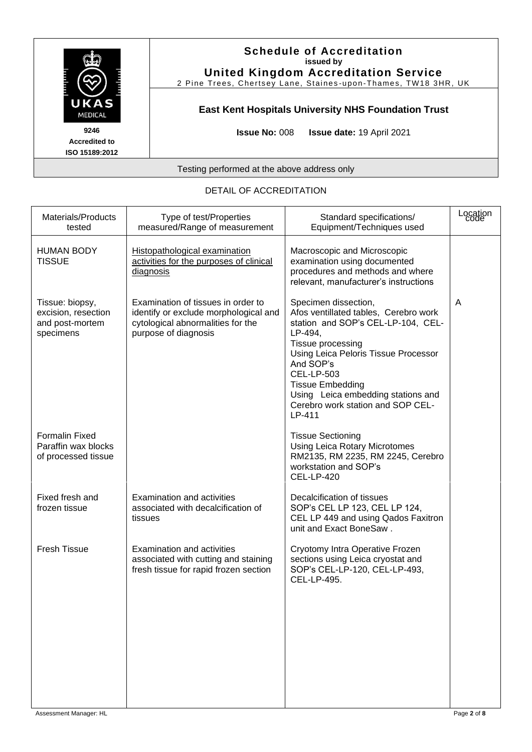

#### **Schedule of Accreditation issued by United Kingdom Accreditation Service**

2 Pine Trees, Chertsey Lane, Staines -upon -Thames, TW18 3HR, UK

## **East Kent Hospitals University NHS Foundation Trust**

**Issue No:** 008 **Issue date:** 19 April 2021

Testing performed at the above address only

| Materials/Products<br>tested                                           | Type of test/Properties<br>measured/Range of measurement                                                                                 | Standard specifications/<br>Equipment/Techniques used                                                                                                                                                                                                                                                                         | Location<br>code |
|------------------------------------------------------------------------|------------------------------------------------------------------------------------------------------------------------------------------|-------------------------------------------------------------------------------------------------------------------------------------------------------------------------------------------------------------------------------------------------------------------------------------------------------------------------------|------------------|
| <b>HUMAN BODY</b><br><b>TISSUE</b>                                     | Histopathological examination<br>activities for the purposes of clinical<br>diagnosis                                                    | Macroscopic and Microscopic<br>examination using documented<br>procedures and methods and where<br>relevant, manufacturer's instructions                                                                                                                                                                                      |                  |
| Tissue: biopsy,<br>excision, resection<br>and post-mortem<br>specimens | Examination of tissues in order to<br>identify or exclude morphological and<br>cytological abnormalities for the<br>purpose of diagnosis | Specimen dissection,<br>Afos ventillated tables, Cerebro work<br>station and SOP's CEL-LP-104, CEL-<br>LP-494,<br>Tissue processing<br>Using Leica Peloris Tissue Processor<br>And SOP's<br><b>CEL-LP-503</b><br><b>Tissue Embedding</b><br>Using Leica embedding stations and<br>Cerebro work station and SOP CEL-<br>LP-411 | A                |
| <b>Formalin Fixed</b><br>Paraffin wax blocks<br>of processed tissue    |                                                                                                                                          | <b>Tissue Sectioning</b><br>Using Leica Rotary Microtomes<br>RM2135, RM 2235, RM 2245, Cerebro<br>workstation and SOP's<br><b>CEL-LP-420</b>                                                                                                                                                                                  |                  |
| Fixed fresh and<br>frozen tissue                                       | <b>Examination and activities</b><br>associated with decalcification of<br>tissues                                                       | Decalcification of tissues<br>SOP's CEL LP 123, CEL LP 124,<br>CEL LP 449 and using Qados Faxitron<br>unit and Exact BoneSaw.                                                                                                                                                                                                 |                  |
| <b>Fresh Tissue</b>                                                    | Examination and activities<br>associated with cutting and staining<br>fresh tissue for rapid frozen section                              | Cryotomy Intra Operative Frozen<br>sections using Leica cryostat and<br>SOP's CEL-LP-120, CEL-LP-493,<br>CEL-LP-495.                                                                                                                                                                                                          |                  |
|                                                                        |                                                                                                                                          |                                                                                                                                                                                                                                                                                                                               |                  |

#### DETAIL OF ACCREDITATION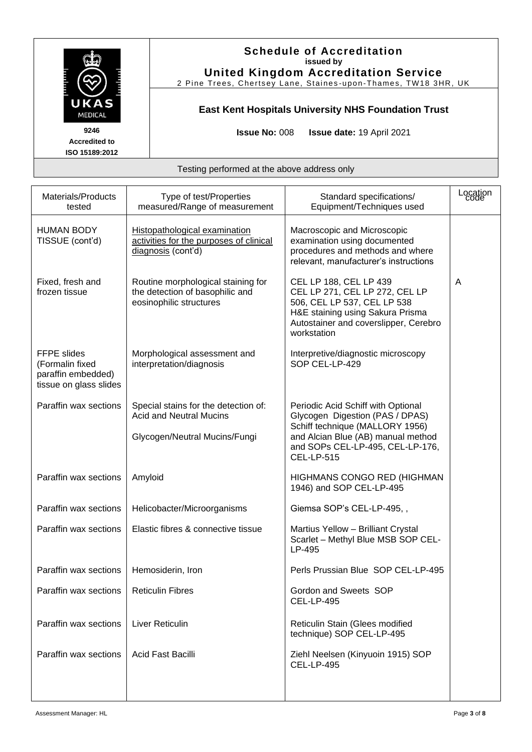

#### **Schedule of Accreditation issued by United Kingdom Accreditation Service**

2 Pine Trees, Chertsey Lane, Staines -upon -Thames, TW18 3HR, UK

# **East Kent Hospitals University NHS Foundation Trust**

**Issue No:** 008 **Issue date:** 19 April 2021

| Materials/Products<br>tested                                                          | Type of test/Properties<br>measured/Range of measurement                                                | Standard specifications/<br>Equipment/Techniques used                                                                                                                                                   | Location<br>code |
|---------------------------------------------------------------------------------------|---------------------------------------------------------------------------------------------------------|---------------------------------------------------------------------------------------------------------------------------------------------------------------------------------------------------------|------------------|
| <b>HUMAN BODY</b><br>TISSUE (cont'd)                                                  | Histopathological examination<br>activities for the purposes of clinical<br>diagnosis (cont'd)          | Macroscopic and Microscopic<br>examination using documented<br>procedures and methods and where<br>relevant, manufacturer's instructions                                                                |                  |
| Fixed, fresh and<br>frozen tissue                                                     | Routine morphological staining for<br>the detection of basophilic and<br>eosinophilic structures        | CEL LP 188, CEL LP 439<br>CEL LP 271, CEL LP 272, CEL LP<br>506, CEL LP 537, CEL LP 538<br>H&E staining using Sakura Prisma<br>Autostainer and coverslipper, Cerebro<br>workstation                     | A                |
| <b>FFPE</b> slides<br>(Formalin fixed<br>paraffin embedded)<br>tissue on glass slides | Morphological assessment and<br>interpretation/diagnosis                                                | Interpretive/diagnostic microscopy<br>SOP CEL-LP-429                                                                                                                                                    |                  |
| Paraffin wax sections                                                                 | Special stains for the detection of:<br><b>Acid and Neutral Mucins</b><br>Glycogen/Neutral Mucins/Fungi | Periodic Acid Schiff with Optional<br>Glycogen Digestion (PAS / DPAS)<br>Schiff technique (MALLORY 1956)<br>and Alcian Blue (AB) manual method<br>and SOPs CEL-LP-495, CEL-LP-176,<br><b>CEL-LP-515</b> |                  |
| Paraffin wax sections                                                                 | Amyloid                                                                                                 | HIGHMANS CONGO RED (HIGHMAN<br>1946) and SOP CEL-LP-495                                                                                                                                                 |                  |
| Paraffin wax sections                                                                 | Helicobacter/Microorganisms                                                                             | Giemsa SOP's CEL-LP-495,,                                                                                                                                                                               |                  |
| Paraffin wax sections                                                                 | Elastic fibres & connective tissue                                                                      | Martius Yellow - Brilliant Crystal<br>Scarlet - Methyl Blue MSB SOP CEL-<br>LP-495                                                                                                                      |                  |
| Paraffin wax sections                                                                 | Hemosiderin, Iron                                                                                       | Perls Prussian Blue SOP CEL-LP-495                                                                                                                                                                      |                  |
| Paraffin wax sections                                                                 | <b>Reticulin Fibres</b>                                                                                 | Gordon and Sweets SOP<br><b>CEL-LP-495</b>                                                                                                                                                              |                  |
| Paraffin wax sections                                                                 | Liver Reticulin                                                                                         | Reticulin Stain (Glees modified<br>technique) SOP CEL-LP-495                                                                                                                                            |                  |
| Paraffin wax sections                                                                 | Acid Fast Bacilli                                                                                       | Ziehl Neelsen (Kinyuoin 1915) SOP<br><b>CEL-LP-495</b>                                                                                                                                                  |                  |
|                                                                                       |                                                                                                         |                                                                                                                                                                                                         |                  |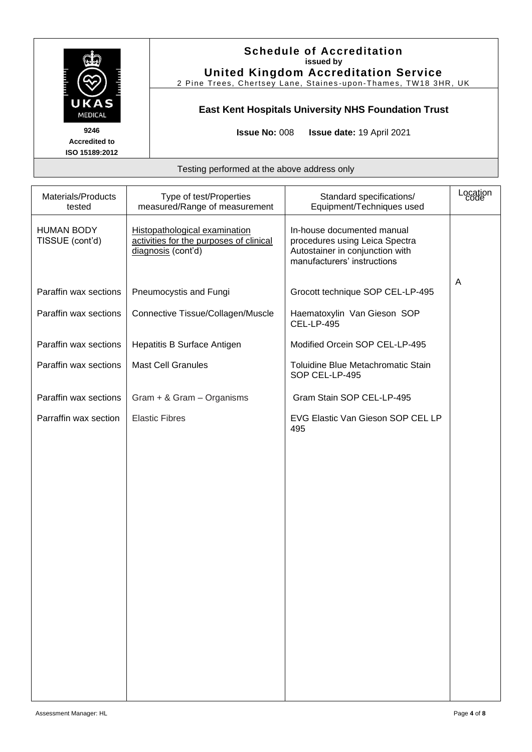

### **Schedule of Accreditation issued by United Kingdom Accreditation Service**

2 Pine Trees, Chertsey Lane, Staines -upon -Thames, TW18 3HR, UK

# **East Kent Hospitals University NHS Foundation Trust**

**Issue No:** 008 **Issue date:** 19 April 2021

| Materials/Products<br>tested         | Type of test/Properties<br>measured/Range of measurement                                       | Standard specifications/<br>Equipment/Techniques used                                                                          | Location<br>code |
|--------------------------------------|------------------------------------------------------------------------------------------------|--------------------------------------------------------------------------------------------------------------------------------|------------------|
| <b>HUMAN BODY</b><br>TISSUE (cont'd) | Histopathological examination<br>activities for the purposes of clinical<br>diagnosis (cont'd) | In-house documented manual<br>procedures using Leica Spectra<br>Autostainer in conjunction with<br>manufacturers' instructions |                  |
| Paraffin wax sections                | Pneumocystis and Fungi                                                                         | Grocott technique SOP CEL-LP-495                                                                                               | A                |
| Paraffin wax sections                | Connective Tissue/Collagen/Muscle                                                              | Haematoxylin Van Gieson SOP<br><b>CEL-LP-495</b>                                                                               |                  |
| Paraffin wax sections                | Hepatitis B Surface Antigen                                                                    | Modified Orcein SOP CEL-LP-495                                                                                                 |                  |
| Paraffin wax sections                | <b>Mast Cell Granules</b>                                                                      | Toluidine Blue Metachromatic Stain<br>SOP CEL-LP-495                                                                           |                  |
| Paraffin wax sections                | Gram + & Gram - Organisms                                                                      | Gram Stain SOP CEL-LP-495                                                                                                      |                  |
| Parraffin wax section                | <b>Elastic Fibres</b>                                                                          | EVG Elastic Van Gieson SOP CEL LP<br>495                                                                                       |                  |
|                                      |                                                                                                |                                                                                                                                |                  |
|                                      |                                                                                                |                                                                                                                                |                  |
|                                      |                                                                                                |                                                                                                                                |                  |
|                                      |                                                                                                |                                                                                                                                |                  |
|                                      |                                                                                                |                                                                                                                                |                  |
|                                      |                                                                                                |                                                                                                                                |                  |
|                                      |                                                                                                |                                                                                                                                |                  |
|                                      |                                                                                                |                                                                                                                                |                  |
|                                      |                                                                                                |                                                                                                                                |                  |
|                                      |                                                                                                |                                                                                                                                |                  |
|                                      |                                                                                                |                                                                                                                                |                  |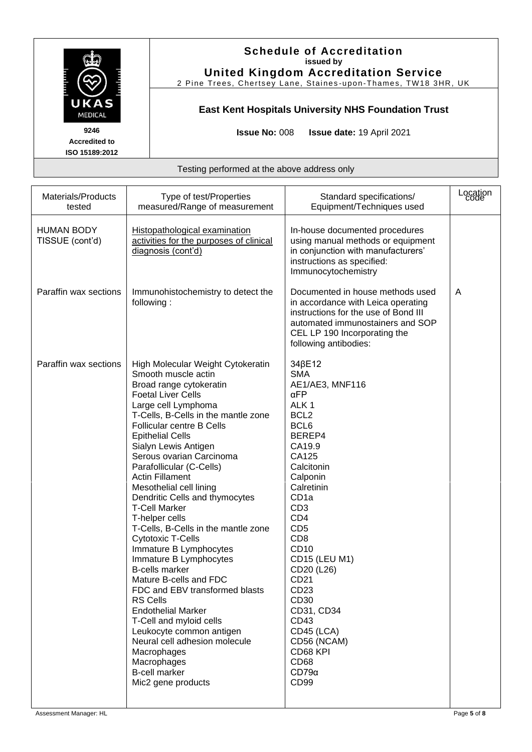

### **Schedule of Accreditation issued by United Kingdom Accreditation Service**

2 Pine Trees, Chertsey Lane, Staines -upon -Thames, TW18 3HR, UK

# **East Kent Hospitals University NHS Foundation Trust**

**Issue No:** 008 **Issue date:** 19 April 2021

| Materials/Products<br>tested         | Type of test/Properties<br>measured/Range of measurement                                                                                                                                                                                                                                                                                                                                                                                                                                                                                                                                                                                                                                                                                                                                                                                                                                       | Standard specifications/<br>Equipment/Techniques used                                                                                                                                                                                                                                                                                                                                                                                                                    | Location<br>code |
|--------------------------------------|------------------------------------------------------------------------------------------------------------------------------------------------------------------------------------------------------------------------------------------------------------------------------------------------------------------------------------------------------------------------------------------------------------------------------------------------------------------------------------------------------------------------------------------------------------------------------------------------------------------------------------------------------------------------------------------------------------------------------------------------------------------------------------------------------------------------------------------------------------------------------------------------|--------------------------------------------------------------------------------------------------------------------------------------------------------------------------------------------------------------------------------------------------------------------------------------------------------------------------------------------------------------------------------------------------------------------------------------------------------------------------|------------------|
| <b>HUMAN BODY</b><br>TISSUE (cont'd) | Histopathological examination<br>activities for the purposes of clinical<br>diagnosis (cont'd)                                                                                                                                                                                                                                                                                                                                                                                                                                                                                                                                                                                                                                                                                                                                                                                                 | In-house documented procedures<br>using manual methods or equipment<br>in conjunction with manufacturers'<br>instructions as specified:<br>Immunocytochemistry                                                                                                                                                                                                                                                                                                           |                  |
| Paraffin wax sections                | Immunohistochemistry to detect the<br>following:                                                                                                                                                                                                                                                                                                                                                                                                                                                                                                                                                                                                                                                                                                                                                                                                                                               | Documented in house methods used<br>in accordance with Leica operating<br>instructions for the use of Bond III<br>automated immunostainers and SOP<br>CEL LP 190 Incorporating the<br>following antibodies:                                                                                                                                                                                                                                                              | A                |
| Paraffin wax sections                | High Molecular Weight Cytokeratin<br>Smooth muscle actin<br>Broad range cytokeratin<br><b>Foetal Liver Cells</b><br>Large cell Lymphoma<br>T-Cells, B-Cells in the mantle zone<br><b>Follicular centre B Cells</b><br><b>Epithelial Cells</b><br>Sialyn Lewis Antigen<br>Serous ovarian Carcinoma<br>Parafollicular (C-Cells)<br><b>Actin Fillament</b><br>Mesothelial cell lining<br>Dendritic Cells and thymocytes<br><b>T-Cell Marker</b><br>T-helper cells<br>T-Cells, B-Cells in the mantle zone<br><b>Cytotoxic T-Cells</b><br>Immature B Lymphocytes<br>Immature B Lymphocytes<br><b>B-cells marker</b><br>Mature B-cells and FDC<br>FDC and EBV transformed blasts<br><b>RS Cells</b><br><b>Endothelial Marker</b><br>T-Cell and myloid cells<br>Leukocyte common antigen<br>Neural cell adhesion molecule<br>Macrophages<br>Macrophages<br><b>B-cell marker</b><br>Mic2 gene products | 34 <sub>BE12</sub><br><b>SMA</b><br>AE1/AE3, MNF116<br>$\alpha$ FP<br>ALK <sub>1</sub><br>BCL <sub>2</sub><br>BCL6<br>BEREP4<br>CA19.9<br>CA125<br>Calcitonin<br>Calponin<br>Calretinin<br>CD <sub>1a</sub><br>CD <sub>3</sub><br>CD <sub>4</sub><br>CD <sub>5</sub><br>CD <sub>8</sub><br>CD10<br><b>CD15 (LEU M1)</b><br>CD20 (L26)<br>CD21<br>CD <sub>23</sub><br>CD30<br>CD31, CD34<br>CD43<br>CD45 (LCA)<br>CD56 (NCAM)<br>CD68 KPI<br>CD68<br>$CD79\alpha$<br>CD99 |                  |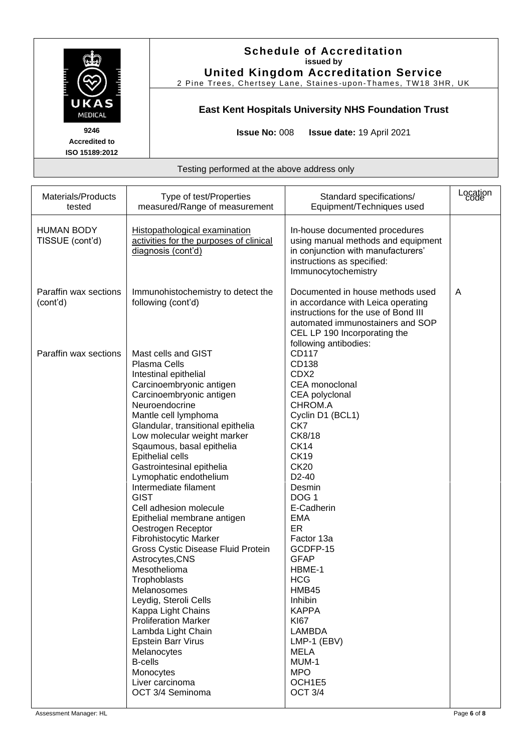

### **Schedule of Accreditation issued by United Kingdom Accreditation Service**

2 Pine Trees, Chertsey Lane, Staines -upon -Thames, TW18 3HR, UK

# **East Kent Hospitals University NHS Foundation Trust**

**Issue No:** 008 **Issue date:** 19 April 2021

| Materials/Products<br>tested         | Type of test/Properties<br>measured/Range of measurement                                                                                                                                                                                                                                                                                                                                                                                                                                                                                                                                                                                                                                                                                                                                                                         | Standard specifications/<br>Equipment/Techniques used                                                                                                                                                                                                                                                                                                                                                                                                             | Location<br>code |
|--------------------------------------|----------------------------------------------------------------------------------------------------------------------------------------------------------------------------------------------------------------------------------------------------------------------------------------------------------------------------------------------------------------------------------------------------------------------------------------------------------------------------------------------------------------------------------------------------------------------------------------------------------------------------------------------------------------------------------------------------------------------------------------------------------------------------------------------------------------------------------|-------------------------------------------------------------------------------------------------------------------------------------------------------------------------------------------------------------------------------------------------------------------------------------------------------------------------------------------------------------------------------------------------------------------------------------------------------------------|------------------|
| <b>HUMAN BODY</b><br>TISSUE (cont'd) | Histopathological examination<br>activities for the purposes of clinical<br>diagnosis (cont'd)                                                                                                                                                                                                                                                                                                                                                                                                                                                                                                                                                                                                                                                                                                                                   | In-house documented procedures<br>using manual methods and equipment<br>in conjunction with manufacturers'<br>instructions as specified:<br>Immunocytochemistry                                                                                                                                                                                                                                                                                                   |                  |
| Paraffin wax sections<br>(cont'd)    | Immunohistochemistry to detect the<br>following (cont'd)                                                                                                                                                                                                                                                                                                                                                                                                                                                                                                                                                                                                                                                                                                                                                                         | Documented in house methods used<br>in accordance with Leica operating<br>instructions for the use of Bond III<br>automated immunostainers and SOP<br>CEL LP 190 Incorporating the<br>following antibodies:                                                                                                                                                                                                                                                       | A                |
| Paraffin wax sections                | Mast cells and GIST<br><b>Plasma Cells</b><br>Intestinal epithelial<br>Carcinoembryonic antigen<br>Carcinoembryonic antigen<br>Neuroendocrine<br>Mantle cell lymphoma<br>Glandular, transitional epithelia<br>Low molecular weight marker<br>Sqaumous, basal epithelia<br>Epithelial cells<br>Gastrointesinal epithelia<br>Lymophatic endothelium<br>Intermediate filament<br><b>GIST</b><br>Cell adhesion molecule<br>Epithelial membrane antigen<br>Oestrogen Receptor<br>Fibrohistocytic Marker<br>Gross Cystic Disease Fluid Protein<br>Astrocytes, CNS<br>Mesothelioma<br>Trophoblasts<br>Melanosomes<br>Leydig, Steroli Cells<br>Kappa Light Chains<br><b>Proliferation Marker</b><br>Lambda Light Chain<br><b>Epstein Barr Virus</b><br>Melanocytes<br><b>B-cells</b><br>Monocytes<br>Liver carcinoma<br>OCT 3/4 Seminoma | CD117<br>CD138<br>CD <sub>X2</sub><br>CEA monoclonal<br>CEA polyclonal<br>CHROM.A<br>Cyclin D1 (BCL1)<br>CK7<br>CK8/18<br><b>CK14</b><br><b>CK19</b><br><b>CK20</b><br>D <sub>2</sub> -40<br>Desmin<br>DOG <sub>1</sub><br>E-Cadherin<br><b>EMA</b><br>ER<br>Factor 13a<br>GCDFP-15<br><b>GFAP</b><br>HBME-1<br><b>HCG</b><br>HMB45<br>Inhibin<br><b>KAPPA</b><br><b>KI67</b><br>LAMBDA<br>LMP-1 (EBV)<br><b>MELA</b><br>MUM-1<br><b>MPO</b><br>OCH1E5<br>OCT 3/4 |                  |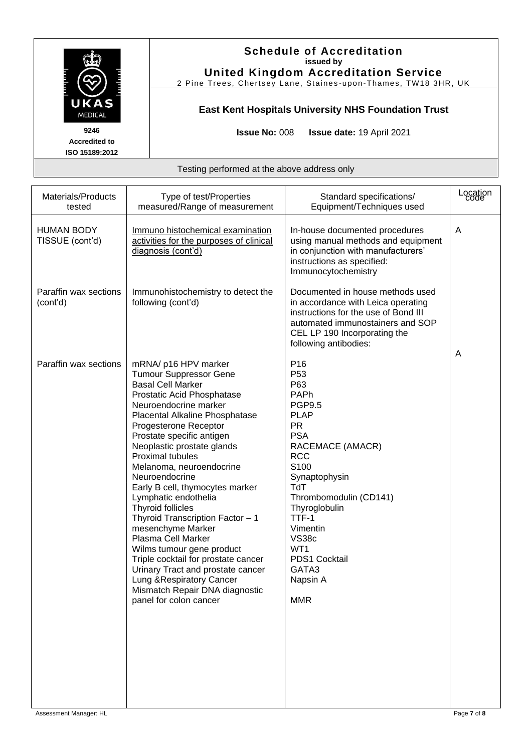

### **Schedule of Accreditation issued by United Kingdom Accreditation Service**

2 Pine Trees, Chertsey Lane, Staines -upon -Thames, TW18 3HR, UK

# **East Kent Hospitals University NHS Foundation Trust**

**Issue No:** 008 **Issue date:** 19 April 2021

| Materials/Products<br>tested         | Type of test/Properties<br>measured/Range of measurement                                                                                                                                                                                                                                                                                                                                                                                                                                                                                                                                                                                                                                          | Standard specifications/<br>Equipment/Techniques used                                                                                                                                                                                                                                                                                 | Location<br>code |
|--------------------------------------|---------------------------------------------------------------------------------------------------------------------------------------------------------------------------------------------------------------------------------------------------------------------------------------------------------------------------------------------------------------------------------------------------------------------------------------------------------------------------------------------------------------------------------------------------------------------------------------------------------------------------------------------------------------------------------------------------|---------------------------------------------------------------------------------------------------------------------------------------------------------------------------------------------------------------------------------------------------------------------------------------------------------------------------------------|------------------|
| <b>HUMAN BODY</b><br>TISSUE (cont'd) | Immuno histochemical examination<br>activities for the purposes of clinical<br>diagnosis (cont'd)                                                                                                                                                                                                                                                                                                                                                                                                                                                                                                                                                                                                 | In-house documented procedures<br>using manual methods and equipment<br>in conjunction with manufacturers'<br>instructions as specified:<br>Immunocytochemistry                                                                                                                                                                       | A                |
| Paraffin wax sections<br>(cont'd)    | Immunohistochemistry to detect the<br>following (cont'd)                                                                                                                                                                                                                                                                                                                                                                                                                                                                                                                                                                                                                                          | Documented in house methods used<br>in accordance with Leica operating<br>instructions for the use of Bond III<br>automated immunostainers and SOP<br>CEL LP 190 Incorporating the<br>following antibodies:                                                                                                                           | Α                |
| Paraffin wax sections                | mRNA/ p16 HPV marker<br><b>Tumour Suppressor Gene</b><br><b>Basal Cell Marker</b><br>Prostatic Acid Phosphatase<br>Neuroendocrine marker<br>Placental Alkaline Phosphatase<br>Progesterone Receptor<br>Prostate specific antigen<br>Neoplastic prostate glands<br>Proximal tubules<br>Melanoma, neuroendocrine<br>Neuroendocrine<br>Early B cell, thymocytes marker<br>Lymphatic endothelia<br>Thyroid follicles<br>Thyroid Transcription Factor - 1<br>mesenchyme Marker<br>Plasma Cell Marker<br>Wilms tumour gene product<br>Triple cocktail for prostate cancer<br>Urinary Tract and prostate cancer<br>Lung & Respiratory Cancer<br>Mismatch Repair DNA diagnostic<br>panel for colon cancer | P <sub>16</sub><br>P <sub>53</sub><br>P63<br>PAPh<br><b>PGP9.5</b><br><b>PLAP</b><br><b>PR</b><br><b>PSA</b><br>RACEMACE (AMACR)<br><b>RCC</b><br>S <sub>100</sub><br>Synaptophysin<br><b>TdT</b><br>Thrombomodulin (CD141)<br>Thyroglobulin<br>TTF-1<br>Vimentin<br>VS38c<br>WT1<br>PDS1 Cocktail<br>GATA3<br>Napsin A<br><b>MMR</b> |                  |